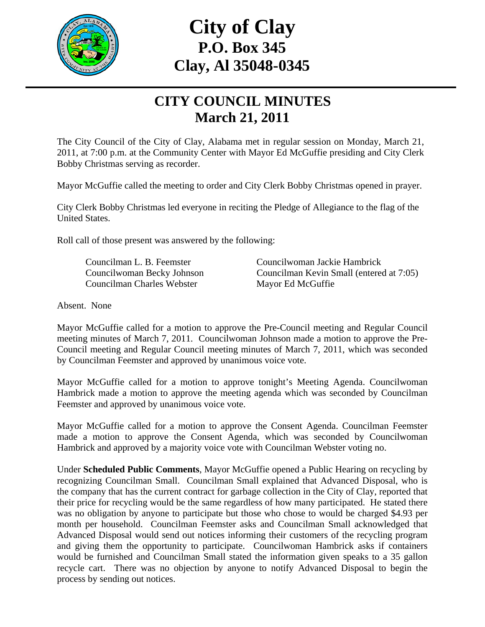

# **City of Clay P.O. Box 345 Clay, Al 35048-0345**

# **CITY COUNCIL MINUTES March 21, 2011**

The City Council of the City of Clay, Alabama met in regular session on Monday, March 21, 2011, at 7:00 p.m. at the Community Center with Mayor Ed McGuffie presiding and City Clerk Bobby Christmas serving as recorder.

Mayor McGuffie called the meeting to order and City Clerk Bobby Christmas opened in prayer.

City Clerk Bobby Christmas led everyone in reciting the Pledge of Allegiance to the flag of the United States.

Roll call of those present was answered by the following:

Councilman Charles Webster Mayor Ed McGuffie

Councilman L. B. Feemster Councilwoman Jackie Hambrick Councilwoman Becky Johnson Councilman Kevin Small (entered at 7:05)

Absent. None

Mayor McGuffie called for a motion to approve the Pre-Council meeting and Regular Council meeting minutes of March 7, 2011. Councilwoman Johnson made a motion to approve the Pre-Council meeting and Regular Council meeting minutes of March 7, 2011, which was seconded by Councilman Feemster and approved by unanimous voice vote.

Mayor McGuffie called for a motion to approve tonight's Meeting Agenda. Councilwoman Hambrick made a motion to approve the meeting agenda which was seconded by Councilman Feemster and approved by unanimous voice vote.

Mayor McGuffie called for a motion to approve the Consent Agenda. Councilman Feemster made a motion to approve the Consent Agenda, which was seconded by Councilwoman Hambrick and approved by a majority voice vote with Councilman Webster voting no.

Under **Scheduled Public Comments**, Mayor McGuffie opened a Public Hearing on recycling by recognizing Councilman Small. Councilman Small explained that Advanced Disposal, who is the company that has the current contract for garbage collection in the City of Clay, reported that their price for recycling would be the same regardless of how many participated. He stated there was no obligation by anyone to participate but those who chose to would be charged \$4.93 per month per household. Councilman Feemster asks and Councilman Small acknowledged that Advanced Disposal would send out notices informing their customers of the recycling program and giving them the opportunity to participate. Councilwoman Hambrick asks if containers would be furnished and Councilman Small stated the information given speaks to a 35 gallon recycle cart. There was no objection by anyone to notify Advanced Disposal to begin the process by sending out notices.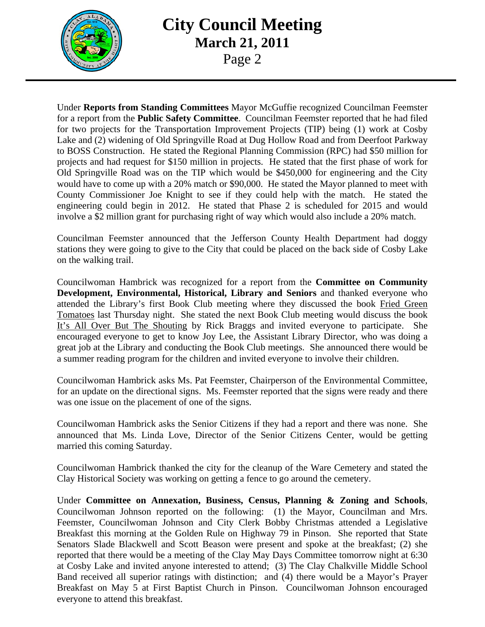

#### **City Council Meeting March 21, 2011**  Page 2

Under **Reports from Standing Committees** Mayor McGuffie recognized Councilman Feemster for a report from the **Public Safety Committee**. Councilman Feemster reported that he had filed for two projects for the Transportation Improvement Projects (TIP) being (1) work at Cosby Lake and (2) widening of Old Springville Road at Dug Hollow Road and from Deerfoot Parkway to BOSS Construction. He stated the Regional Planning Commission (RPC) had \$50 million for projects and had request for \$150 million in projects. He stated that the first phase of work for Old Springville Road was on the TIP which would be \$450,000 for engineering and the City would have to come up with a 20% match or \$90,000. He stated the Mayor planned to meet with County Commissioner Joe Knight to see if they could help with the match. He stated the engineering could begin in 2012. He stated that Phase 2 is scheduled for 2015 and would involve a \$2 million grant for purchasing right of way which would also include a 20% match.

Councilman Feemster announced that the Jefferson County Health Department had doggy stations they were going to give to the City that could be placed on the back side of Cosby Lake on the walking trail.

Councilwoman Hambrick was recognized for a report from the **Committee on Community Development, Environmental, Historical, Library and Seniors** and thanked everyone who attended the Library's first Book Club meeting where they discussed the book Fried Green Tomatoes last Thursday night. She stated the next Book Club meeting would discuss the book It's All Over But The Shouting by Rick Braggs and invited everyone to participate. She encouraged everyone to get to know Joy Lee, the Assistant Library Director, who was doing a great job at the Library and conducting the Book Club meetings. She announced there would be a summer reading program for the children and invited everyone to involve their children.

Councilwoman Hambrick asks Ms. Pat Feemster, Chairperson of the Environmental Committee, for an update on the directional signs. Ms. Feemster reported that the signs were ready and there was one issue on the placement of one of the signs.

Councilwoman Hambrick asks the Senior Citizens if they had a report and there was none. She announced that Ms. Linda Love, Director of the Senior Citizens Center, would be getting married this coming Saturday.

Councilwoman Hambrick thanked the city for the cleanup of the Ware Cemetery and stated the Clay Historical Society was working on getting a fence to go around the cemetery.

Under **Committee on Annexation, Business, Census, Planning & Zoning and Schools**, Councilwoman Johnson reported on the following: (1) the Mayor, Councilman and Mrs. Feemster, Councilwoman Johnson and City Clerk Bobby Christmas attended a Legislative Breakfast this morning at the Golden Rule on Highway 79 in Pinson. She reported that State Senators Slade Blackwell and Scott Beason were present and spoke at the breakfast; (2) she reported that there would be a meeting of the Clay May Days Committee tomorrow night at 6:30 at Cosby Lake and invited anyone interested to attend; (3) The Clay Chalkville Middle School Band received all superior ratings with distinction; and (4) there would be a Mayor's Prayer Breakfast on May 5 at First Baptist Church in Pinson. Councilwoman Johnson encouraged everyone to attend this breakfast.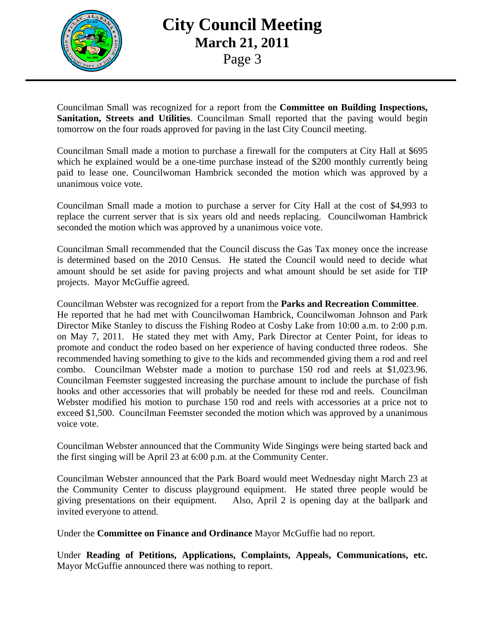

## **City Council Meeting March 21, 2011**  Page 3

Councilman Small was recognized for a report from the **Committee on Building Inspections, Sanitation, Streets and Utilities**. Councilman Small reported that the paving would begin tomorrow on the four roads approved for paving in the last City Council meeting.

Councilman Small made a motion to purchase a firewall for the computers at City Hall at \$695 which he explained would be a one-time purchase instead of the \$200 monthly currently being paid to lease one. Councilwoman Hambrick seconded the motion which was approved by a unanimous voice vote.

Councilman Small made a motion to purchase a server for City Hall at the cost of \$4,993 to replace the current server that is six years old and needs replacing. Councilwoman Hambrick seconded the motion which was approved by a unanimous voice vote.

Councilman Small recommended that the Council discuss the Gas Tax money once the increase is determined based on the 2010 Census. He stated the Council would need to decide what amount should be set aside for paving projects and what amount should be set aside for TIP projects. Mayor McGuffie agreed.

Councilman Webster was recognized for a report from the **Parks and Recreation Committee**. He reported that he had met with Councilwoman Hambrick, Councilwoman Johnson and Park Director Mike Stanley to discuss the Fishing Rodeo at Cosby Lake from 10:00 a.m. to 2:00 p.m. on May 7, 2011. He stated they met with Amy, Park Director at Center Point, for ideas to promote and conduct the rodeo based on her experience of having conducted three rodeos. She recommended having something to give to the kids and recommended giving them a rod and reel combo. Councilman Webster made a motion to purchase 150 rod and reels at \$1,023.96. Councilman Feemster suggested increasing the purchase amount to include the purchase of fish hooks and other accessories that will probably be needed for these rod and reels. Councilman Webster modified his motion to purchase 150 rod and reels with accessories at a price not to exceed \$1,500. Councilman Feemster seconded the motion which was approved by a unanimous voice vote.

Councilman Webster announced that the Community Wide Singings were being started back and the first singing will be April 23 at 6:00 p.m. at the Community Center.

Councilman Webster announced that the Park Board would meet Wednesday night March 23 at the Community Center to discuss playground equipment. He stated three people would be giving presentations on their equipment. Also, April 2 is opening day at the ballpark and invited everyone to attend.

Under the **Committee on Finance and Ordinance** Mayor McGuffie had no report.

Under **Reading of Petitions, Applications, Complaints, Appeals, Communications, etc.** Mayor McGuffie announced there was nothing to report.